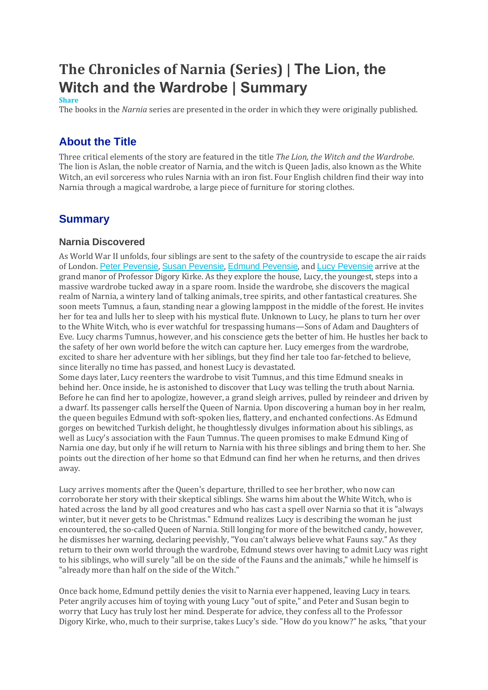# **The Chronicles of Narnia (Series) | The Lion, the Witch and the Wardrobe | Summary**

#### **Share**

The books in the *Narnia* series are presented in the order in which they were originally published.

## **About the Title**

Three critical elements of the story are featured in the title *The Lion, the Witch and the Wardrobe*. The lion is Aslan, the noble creator of Narnia, and the witch is Queen Jadis, also known as the White Witch, an evil sorceress who rules Narnia with an iron fist. Four English children find their way into Narnia through a magical wardrobe, a large piece of furniture for storing clothes.

## **Summary**

#### **Narnia Discovered**

As World War II unfolds, four siblings are sent to the safety of the countryside to escape the air raids of London. Peter [Pevensie](https://www.coursehero.com/lit/The-Chronicles-of-Narnia-Series/character-analysis/#Peter_Pevensie), Susan [Pevensie](https://www.coursehero.com/lit/The-Chronicles-of-Narnia-Series/character-analysis/#Susan_Pevensie), Edmund [Pevensie](https://www.coursehero.com/lit/The-Chronicles-of-Narnia-Series/character-analysis/#Edmund_Pevensie), and Lucy [Pevensie](https://www.coursehero.com/lit/The-Chronicles-of-Narnia-Series/character-analysis/#Lucy_Pevensie) arrive at the grand manor of Professor Digory Kirke. As they explore the house, Lucy, the youngest, steps into a massive wardrobe tucked away in a spare room. Inside the wardrobe, she discovers the magical realm of Narnia, a wintery land of talking animals, tree spirits, and other fantastical creatures. She soon meets Tumnus, a faun, standing near a glowing lamppost in the middle of the forest. He invites her for tea and lulls her to sleep with his mystical flute. Unknown to Lucy, he plans to turn her over to the White Witch, who is ever watchful for trespassing humans—Sons of Adam and Daughters of Eve. Lucy charms Tumnus, however, and his conscience gets the better of him. He hustles her back to the safety of her own world before the witch can capture her. Lucy emerges from the wardrobe, excited to share her adventure with her siblings, but they find her tale too far-fetched to believe, since literally no time has passed, and honest Lucy is devastated.

Some days later, Lucy reenters the wardrobe to visit Tumnus, and this time Edmund sneaks in behind her. Once inside, he is astonished to discover that Lucy was telling the truth about Narnia. Before he can find her to apologize, however, a grand sleigh arrives, pulled by reindeer and driven by a dwarf. Its passenger calls herself the Queen of Narnia. Upon discovering a human boy in her realm, the queen beguiles Edmund with soft-spoken lies, flattery, and enchanted confections. As Edmund gorges on bewitched Turkish delight, he thoughtlessly divulges information about his siblings, as well as Lucy's association with the Faun Tumnus. The queen promises to make Edmund King of Narnia one day, but only if he will return to Narnia with his three siblings and bring them to her. She points out the direction of her home so that Edmund can find her when he returns, and then drives away.

Lucy arrives moments after the Queen's departure, thrilled to see her brother, who now can corroborate her story with their skeptical siblings. She warns him about the White Witch, who is hated across the land by all good creatures and who has cast a spell over Narnia so that it is "always winter, but it never gets to be Christmas." Edmund realizes Lucy is describing the woman he just encountered, the so-called Queen of Narnia. Still longing for more of the bewitched candy, however, he dismisses her warning, declaring peevishly, "You can't always believe what Fauns say." As they return to their own world through the wardrobe, Edmund stews over having to admit Lucy was right to his siblings, who will surely "all be on the side of the Fauns and the animals," while he himself is "already more than half on the side of the Witch."

Once back home, Edmund pettily denies the visit to Narnia ever happened, leaving Lucy in tears. Peter angrily accuses him of toying with young Lucy "out of spite," and Peter and Susan begin to worry that Lucy has truly lost her mind. Desperate for advice, they confess all to the Professor Digory Kirke, who, much to their surprise, takes Lucy's side. "How do you know?" he asks, "that your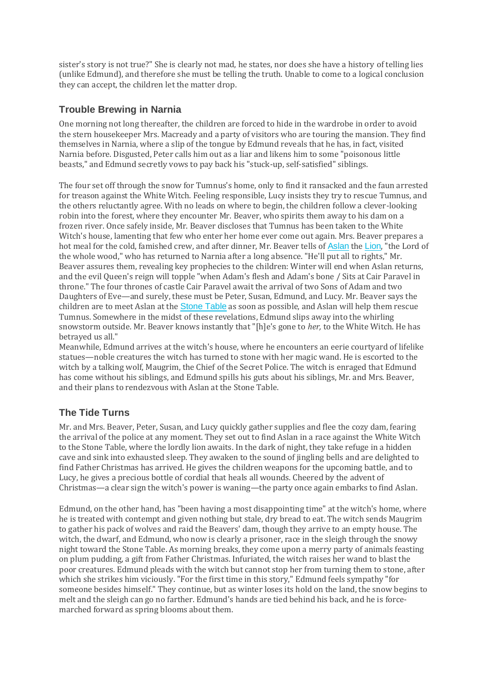sister's story is not true?" She is clearly not mad, he states, nor does she have a history of telling lies (unlike Edmund), and therefore she must be telling the truth. Unable to come to a logical conclusion they can accept, the children let the matter drop.

## **Trouble Brewing in Narnia**

One morning not long thereafter, the children are forced to hide in the wardrobe in order to avoid the stern housekeeper Mrs. Macready and a party of visitors who are touring the mansion. They find themselves in Narnia, where a slip of the tongue by Edmund reveals that he has, in fact, visited Narnia before. Disgusted, Peter calls him out as a liar and likens him to some "poisonous little beasts," and Edmund secretly vows to pay back his "stuck-up, self-satisfied" siblings.

The four set off through the snow for Tumnus's home, only to find it ransacked and the faun arrested for treason against the White Witch. Feeling responsible, Lucy insists they try to rescue Tumnus, and the others reluctantly agree. With no leads on where to begin, the children follow a clever-looking robin into the forest, where they encounter Mr. Beaver, who spirits them away to his dam on a frozen river. Once safely inside, Mr. Beaver discloses that Tumnus has been taken to the White Witch's house, lamenting that few who enter her home ever come out again. Mrs. Beaver prepares a hot meal for the cold, famished crew, and after dinner, Mr. Beaver tells of [Aslan](https://www.coursehero.com/lit/The-Chronicles-of-Narnia-Series/character-analysis/#Aslan) the [Lion](https://www.coursehero.com/lit/The-Chronicles-of-Narnia-Series/symbols/#Lion), "the Lord of the whole wood," who has returned to Narnia after a long absence. "He'll put all to rights," Mr. Beaver assures them, revealing key prophecies to the children: Winter will end when Aslan returns, and the evil Queen's reign will topple "when Adam's flesh and Adam's bone / Sits at Cair Paravel in throne." The four thrones of castle Cair Paravel await the arrival of two Sons of Adam and two Daughters of Eve—and surely, these must be Peter, Susan, Edmund, and Lucy. Mr. Beaver says the children are to meet Aslan at the **[Stone](https://www.coursehero.com/lit/The-Chronicles-of-Narnia-Series/symbols/#Stone_Table) Table** as soon as possible, and Aslan will help them rescue Tumnus. Somewhere in the midst of these revelations, Edmund slips away into the whirling snowstorm outside. Mr. Beaver knows instantly that "[h]e's gone to *her,* to the White Witch. He has betrayed us all."

Meanwhile, Edmund arrives at the witch's house, where he encounters an eerie courtyard of lifelike statues—noble creatures the witch has turned to stone with her magic wand. He is escorted to the witch by a talking wolf, Maugrim, the Chief of the Secret Police. The witch is enraged that Edmund has come without his siblings, and Edmund spills his guts about his siblings, Mr. and Mrs. Beaver, and their plans to rendezvous with Aslan at the Stone Table.

### **The Tide Turns**

Mr. and Mrs. Beaver, Peter, Susan, and Lucy quickly gather supplies and flee the cozy dam, fearing the arrival of the police at any moment. They set out to find Aslan in a race against the White Witch to the Stone Table, where the lordly lion awaits. In the dark of night, they take refuge in a hidden cave and sink into exhausted sleep. They awaken to the sound of jingling bells and are delighted to find Father Christmas has arrived. He gives the children weapons for the upcoming battle, and to Lucy, he gives a precious bottle of cordial that heals all wounds. Cheered by the advent of Christmas—a clear sign the witch's power is waning—the party once again embarks to find Aslan.

Edmund, on the other hand, has "been having a most disappointing time" at the witch's home, where he is treated with contempt and given nothing but stale, dry bread to eat. The witch sends Maugrim to gather his pack of wolves and raid the Beavers' dam, though they arrive to an empty house. The witch, the dwarf, and Edmund, who now is clearly a prisoner, race in the sleigh through the snowy night toward the Stone Table. As morning breaks, they come upon a merry party of animals feasting on plum pudding, a gift from Father Christmas. Infuriated, the witch raises her wand to blast the poor creatures. Edmund pleads with the witch but cannot stop her from turning them to stone, after which she strikes him viciously. "For the first time in this story," Edmund feels sympathy "for someone besides himself." They continue, but as winter loses its hold on the land, the snow begins to melt and the sleigh can go no farther. Edmund's hands are tied behind his back, and he is forcemarched forward as spring blooms about them.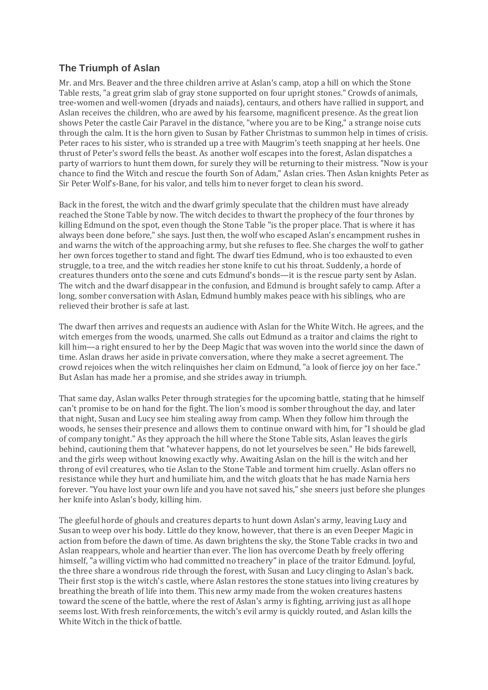## **The Triumph of Aslan**

Mr. and Mrs. Beaver and the three children arrive at Aslan's camp, atop a hill on which the Stone Table rests, "a great grim slab of gray stone supported on four upright stones." Crowds of animals, tree-women and well-women (dryads and naiads), centaurs, and others have rallied in support, and Aslan receives the children, who are awed by his fearsome, magnificent presence. As the great lion shows Peter the castle Cair Paravel in the distance, "where you are to be King," a strange noise cuts through the calm. It is the horn given to Susan by Father Christmas to summon help in times of crisis. Peter races to his sister, who is stranded up a tree with Maugrim's teeth snapping at her heels. One thrust of Peter's sword fells the beast. As another wolf escapes into the forest, Aslan dispatches a party of warriors to hunt them down, for surely they will be returning to their mistress. "Now is your chance to find the Witch and rescue the fourth Son of Adam," Aslan cries. Then Aslan knights Peter as Sir Peter Wolf's-Bane, for his valor, and tells him to never forget to clean his sword.

Back in the forest, the witch and the dwarf grimly speculate that the children must have already reached the Stone Table by now. The witch decides to thwart the prophecy of the four thrones by killing Edmund on the spot, even though the Stone Table "is the proper place. That is where it has always been done before," she says. Just then, the wolf who escaped Aslan's encampment rushes in and warns the witch of the approaching army, but she refuses to flee. She charges the wolf to gather her own forces together to stand and fight. The dwarf ties Edmund, who is too exhausted to even struggle, to a tree, and the witch readies her stone knife to cut his throat. Suddenly, a horde of creatures thunders onto the scene and cuts Edmund's bonds—it is the rescue party sent by Aslan. The witch and the dwarf disappear in the confusion, and Edmund is brought safely to camp. After a long, somber conversation with Aslan, Edmund humbly makes peace with his siblings, who are relieved their brother is safe at last.

The dwarf then arrives and requests an audience with Aslan for the White Witch. He agrees, and the witch emerges from the woods, unarmed. She calls out Edmund as a traitor and claims the right to kill him—a right ensured to her by the Deep Magic that was woven into the world since the dawn of time. Aslan draws her aside in private conversation, where they make a secret agreement. The crowd rejoices when the witch relinquishes her claim on Edmund, "a look of fierce joy on her face." But Aslan has made her a promise, and she strides away in triumph.

That same day, Aslan walks Peter through strategies for the upcoming battle, stating that he himself can't promise to be on hand for the fight. The lion's mood is somber throughout the day, and later that night, Susan and Lucy see him stealing away from camp. When they follow him through the woods, he senses their presence and allows them to continue onward with him, for "I should be glad of company tonight." As they approach the hill where the Stone Table sits, Aslan leaves the girls behind, cautioning them that "whatever happens, do not let yourselves be seen." He bids farewell, and the girls weep without knowing exactly why. Awaiting Aslan on the hill is the witch and her throng of evil creatures, who tie Aslan to the Stone Table and torment him cruelly. Aslan offers no resistance while they hurt and humiliate him, and the witch gloats that he has made Narnia hers forever. "You have lost your own life and you have not saved his," she sneers just before she plunges her knife into Aslan's body, killing him.

The gleeful horde of ghouls and creatures departs to hunt down Aslan's army, leaving Lucy and Susan to weep over his body. Little do they know, however, that there is an even Deeper Magic in action from before the dawn of time. As dawn brightens the sky, the Stone Table cracks in two and Aslan reappears, whole and heartier than ever. The lion has overcome Death by freely offering himself, "a willing victim who had committed no treachery" in place of the traitor Edmund. Joyful, the three share a wondrous ride through the forest, with Susan and Lucy clinging to Aslan's back. Their first stop is the witch's castle, where Aslan restores the stone statues into living creatures by breathing the breath of life into them. This new army made from the woken creatures hastens toward the scene of the battle, where the rest of Aslan's army is fighting, arriving just as all hope seems lost. With fresh reinforcements, the witch's evil army is quickly routed, and Aslan kills the White Witch in the thick of battle.